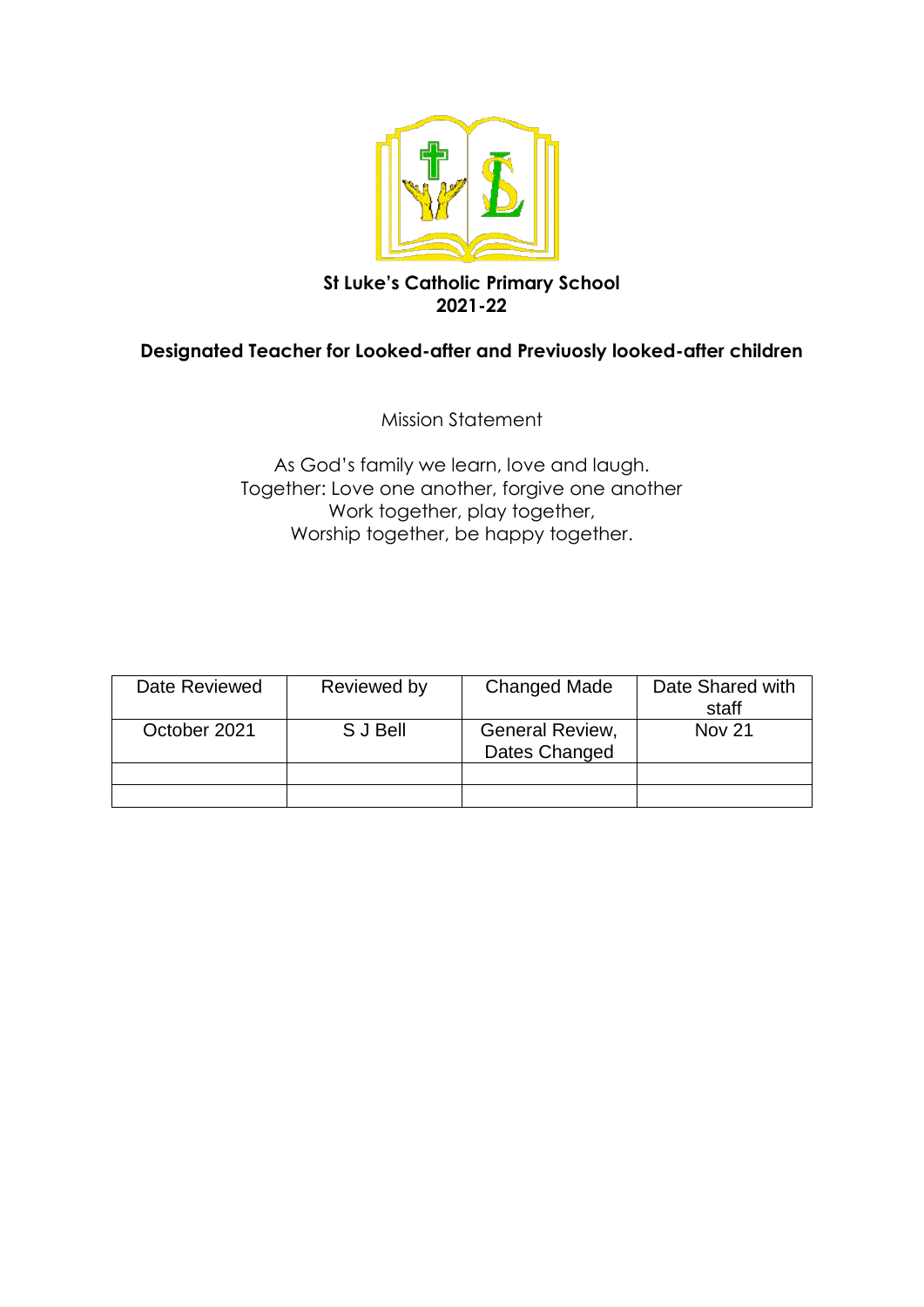

# **St Luke's Catholic Primary School 2021-22**

# **Designated Teacher for Looked-after and Previuosly looked-after children**

Mission Statement

As God's family we learn, love and laugh. Together: Love one another, forgive one another Work together, play together, Worship together, be happy together.

| Date Reviewed | Reviewed by | <b>Changed Made</b>              | Date Shared with<br>staff |
|---------------|-------------|----------------------------------|---------------------------|
| October 2021  | S J Bell    | General Review,<br>Dates Changed | <b>Nov 21</b>             |
|               |             |                                  |                           |
|               |             |                                  |                           |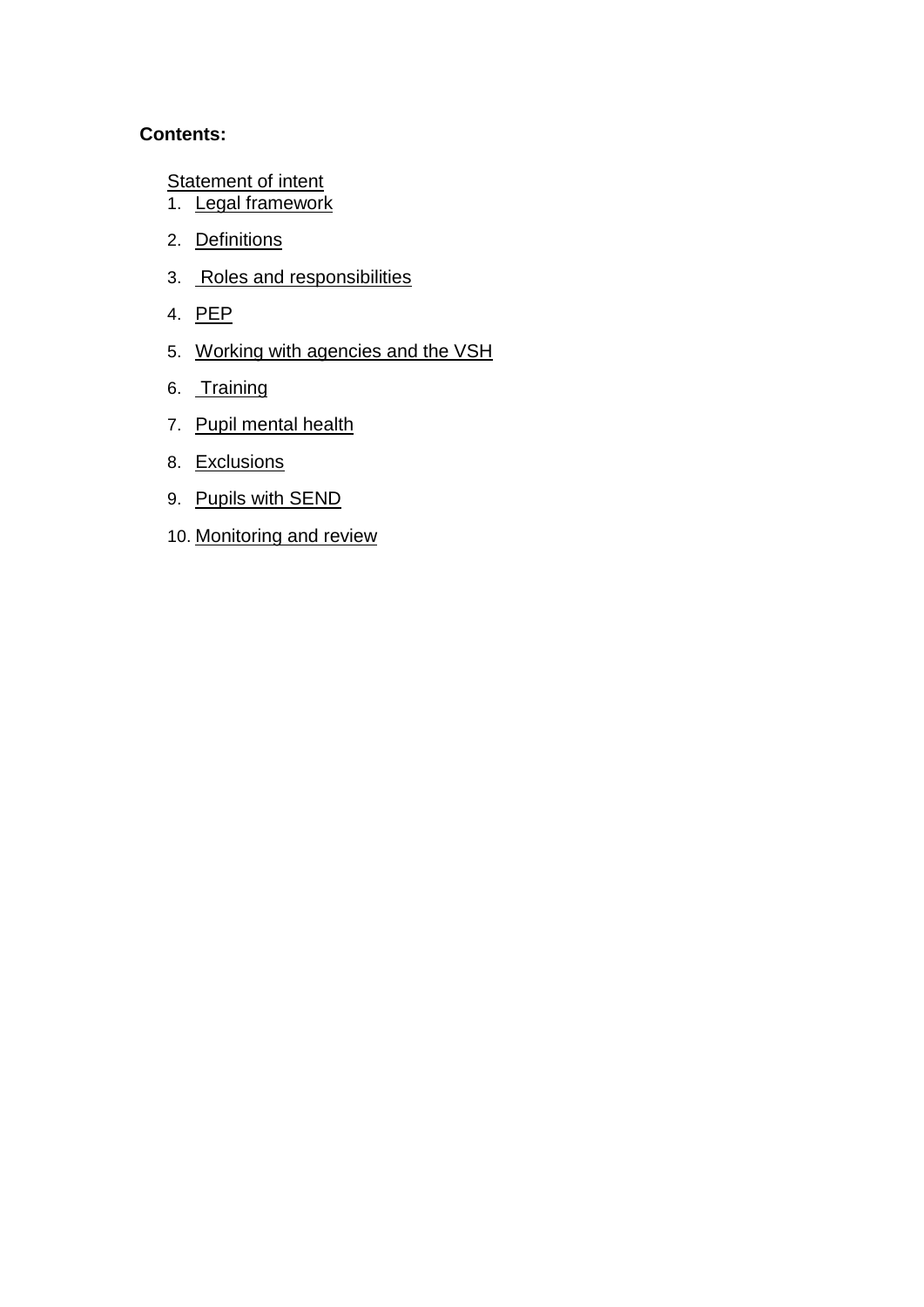## **Contents:**

**[Statement of intent](#page-2-0)** 

- 1. [Legal framework](#page-3-0)
- 2. [Definitions](#page-4-0)
- 3. [Roles and responsibilities](#page-4-1)
- 4. [PEP](#page-8-0)
- 5. [Working with agencies and the VSH](#page-9-0)
- 6. [Training](#page-10-0)
- 7. [Pupil mental health](#page-10-1)
- 8. [Exclusions](#page-11-0)
- 9. [Pupils with SEND](#page-11-1)
- 10. [Monitoring and review](#page-12-0)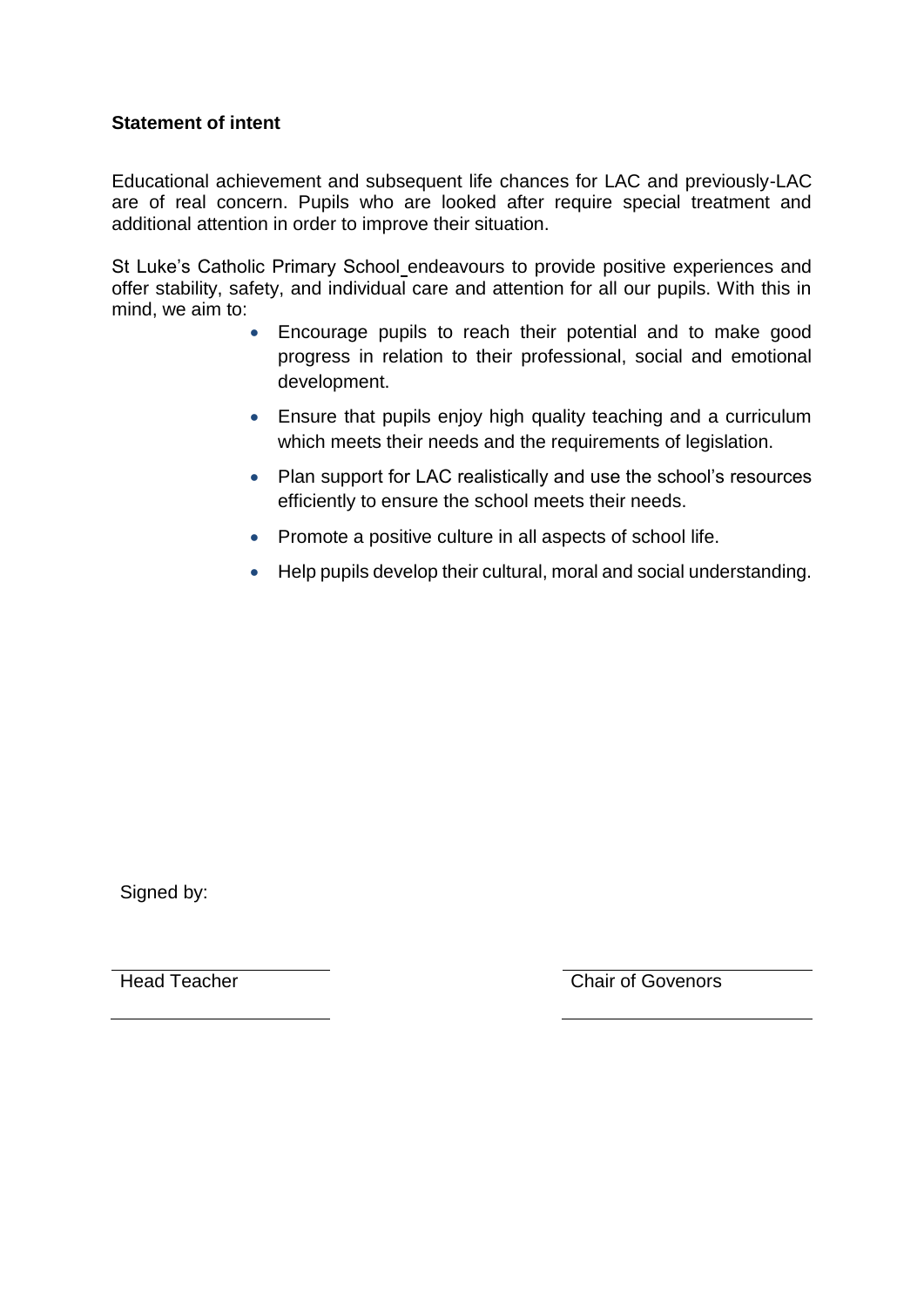## <span id="page-2-0"></span>**Statement of intent**

Educational achievement and subsequent life chances for LAC and previously-LAC are of real concern. Pupils who are looked after require special treatment and additional attention in order to improve their situation.

St Luke's Catholic Primary School endeavours to provide positive experiences and offer stability, safety, and individual care and attention for all our pupils. With this in mind, we aim to:

- Encourage pupils to reach their potential and to make good progress in relation to their professional, social and emotional development.
- Ensure that pupils enjoy high quality teaching and a curriculum which meets their needs and the requirements of legislation.
- Plan support for LAC realistically and use the school's resources efficiently to ensure the school meets their needs.
- Promote a positive culture in all aspects of school life.
- Help pupils develop their cultural, moral and social understanding.

Signed by:

Head Teacher Chair of Govenors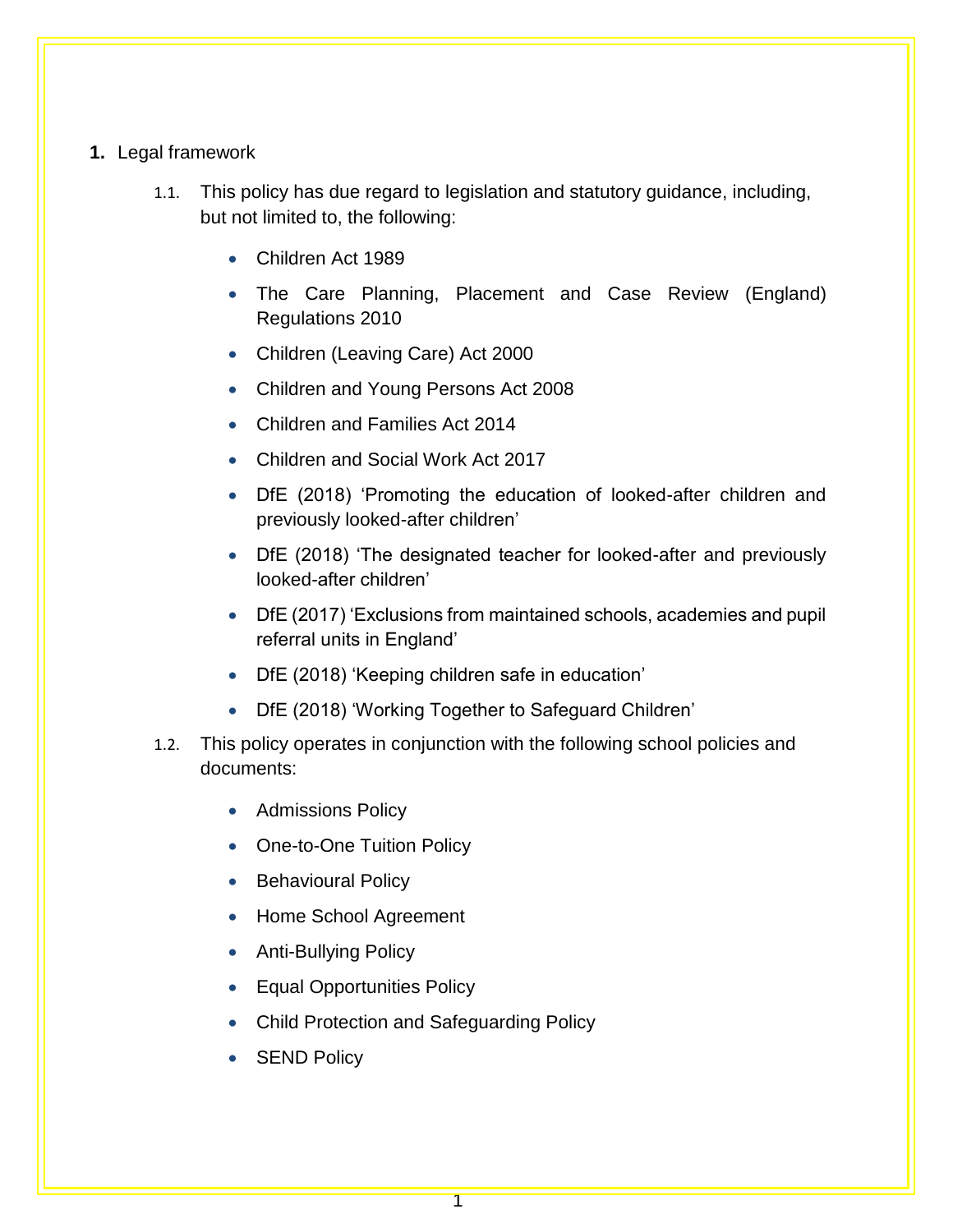#### <span id="page-3-0"></span>**1.** Legal framework

- 1.1. This policy has due regard to legislation and statutory guidance, including, but not limited to, the following:
	- Children Act 1989
	- The Care Planning, Placement and Case Review (England) Regulations 2010
	- Children (Leaving Care) Act 2000
	- Children and Young Persons Act 2008
	- Children and Families Act 2014
	- Children and Social Work Act 2017
	- DfE (2018) 'Promoting the education of looked-after children and previously looked-after children'
	- DfE (2018) 'The designated teacher for looked-after and previously looked-after children'
	- DfE (2017) 'Exclusions from maintained schools, academies and pupil referral units in England'
	- DfE (2018) 'Keeping children safe in education'
	- DfE (2018) 'Working Together to Safeguard Children'
- 1.2. This policy operates in conjunction with the following school policies and documents:
	- **•** Admissions Policy
	- One-to-One Tuition Policy
	- Behavioural Policy
	- Home School Agreement
	- Anti-Bullying Policy
	- Equal Opportunities Policy
	- Child Protection and Safeguarding Policy
	- SEND Policy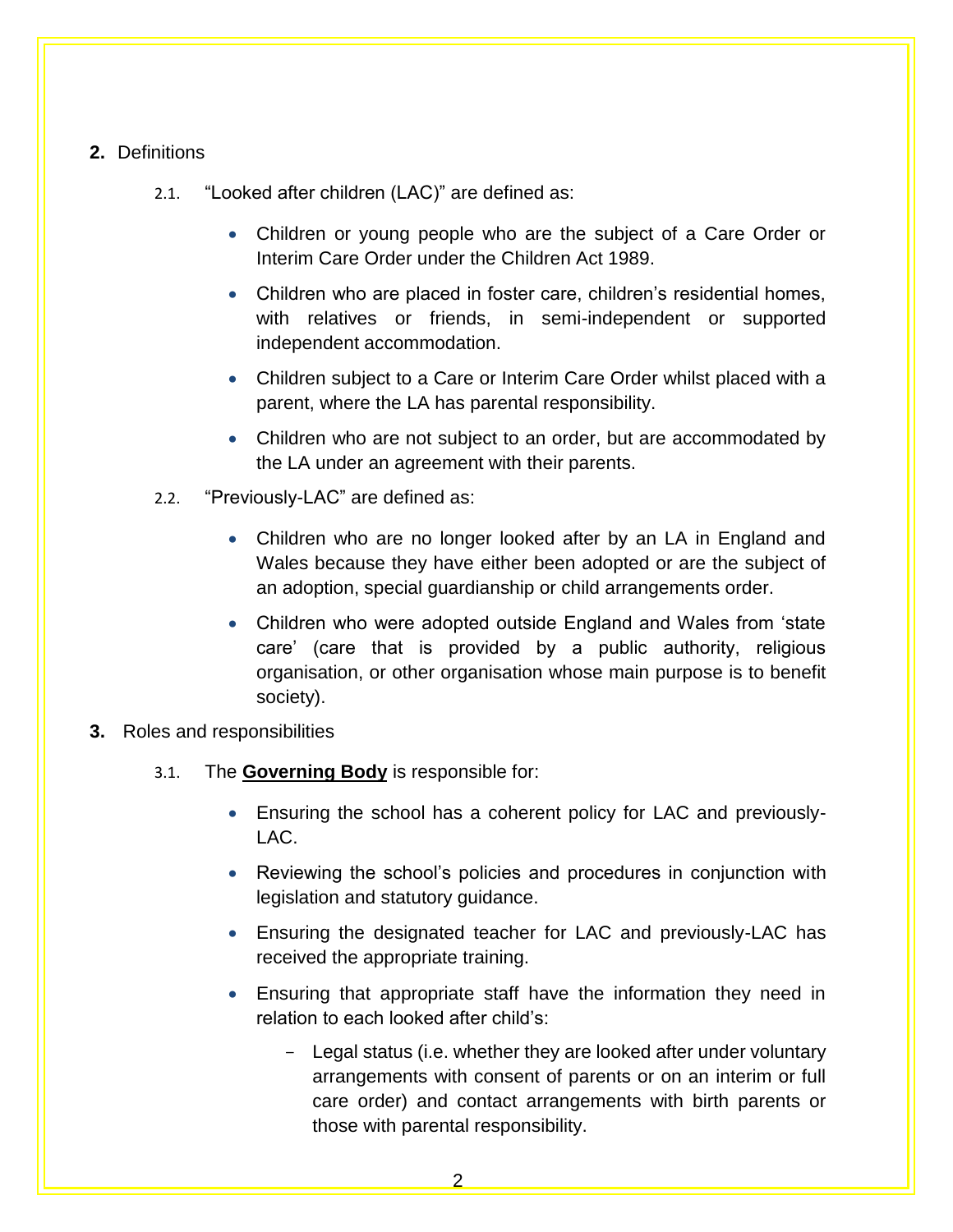## **2.** Definitions

- <span id="page-4-0"></span>2.1. "Looked after children (LAC)" are defined as:
	- Children or young people who are the subject of a Care Order or Interim Care Order under the Children Act 1989.
	- Children who are placed in foster care, children's residential homes, with relatives or friends, in semi-independent or supported independent accommodation.
	- Children subject to a Care or Interim Care Order whilst placed with a parent, where the LA has parental responsibility.
	- Children who are not subject to an order, but are accommodated by the LA under an agreement with their parents.
- 2.2. "Previously-LAC" are defined as:
	- Children who are no longer looked after by an LA in England and Wales because they have either been adopted or are the subject of an adoption, special guardianship or child arrangements order.
	- Children who were adopted outside England and Wales from 'state care' (care that is provided by a public authority, religious organisation, or other organisation whose main purpose is to benefit society).
- <span id="page-4-1"></span>**3.** Roles and responsibilities
	- 3.1. The **Governing Body** is responsible for:
		- Ensuring the school has a coherent policy for LAC and previously-LAC.
		- Reviewing the school's policies and procedures in conjunction with legislation and statutory guidance.
		- Ensuring the designated teacher for LAC and previously-LAC has received the appropriate training.
		- Ensuring that appropriate staff have the information they need in relation to each looked after child's:
			- Legal status (i.e. whether they are looked after under voluntary arrangements with consent of parents or on an interim or full care order) and contact arrangements with birth parents or those with parental responsibility.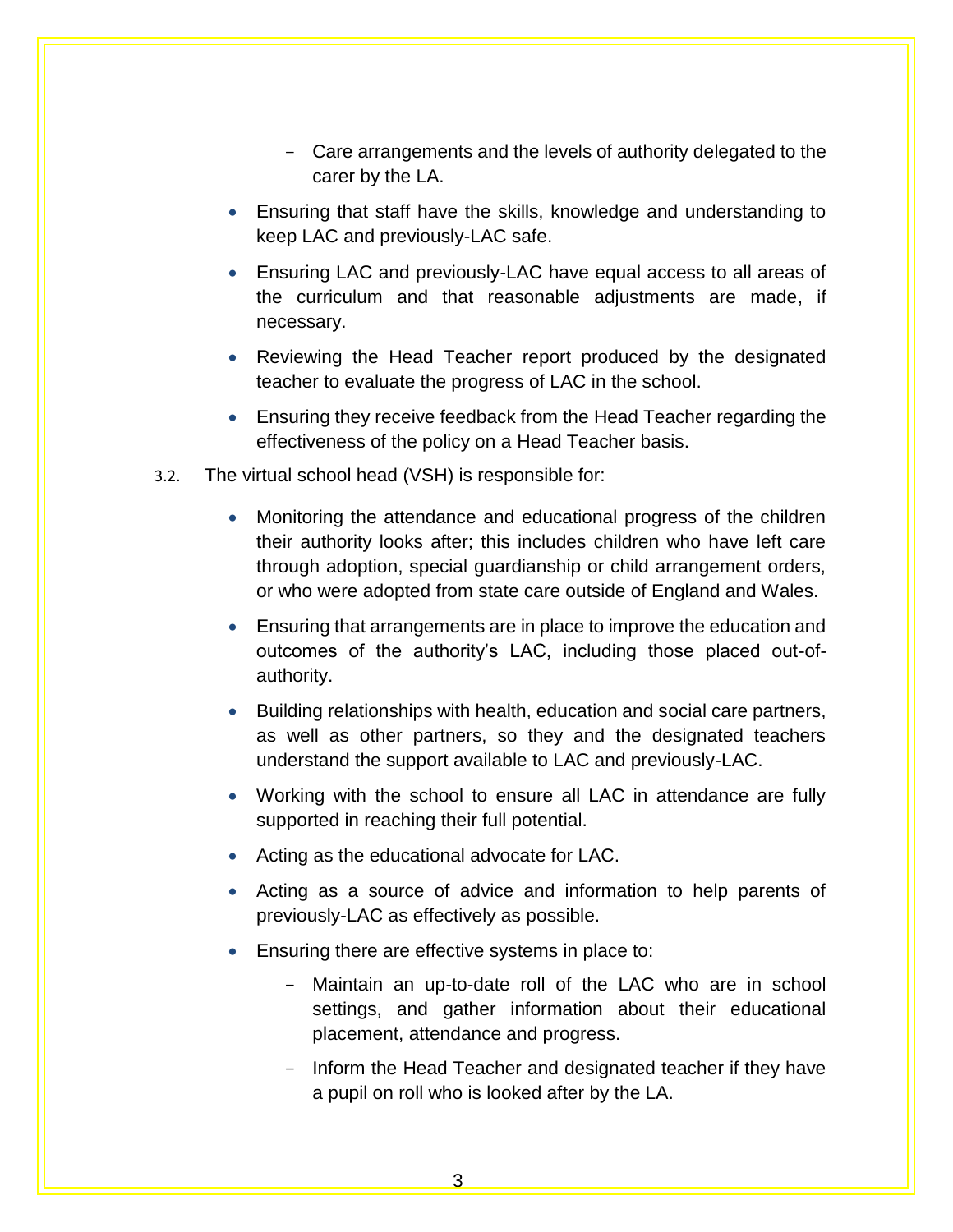- Care arrangements and the levels of authority delegated to the carer by the LA.
- Ensuring that staff have the skills, knowledge and understanding to keep LAC and previously-LAC safe.
- Ensuring LAC and previously-LAC have equal access to all areas of the curriculum and that reasonable adjustments are made, if necessary.
- Reviewing the Head Teacher report produced by the designated teacher to evaluate the progress of LAC in the school.
- Ensuring they receive feedback from the Head Teacher regarding the effectiveness of the policy on a Head Teacher basis.
- 3.2. The virtual school head (VSH) is responsible for:
	- Monitoring the attendance and educational progress of the children their authority looks after; this includes children who have left care through adoption, special guardianship or child arrangement orders, or who were adopted from state care outside of England and Wales.
	- Ensuring that arrangements are in place to improve the education and outcomes of the authority's LAC, including those placed out-ofauthority.
	- Building relationships with health, education and social care partners, as well as other partners, so they and the designated teachers understand the support available to LAC and previously-LAC.
	- Working with the school to ensure all LAC in attendance are fully supported in reaching their full potential.
	- Acting as the educational advocate for LAC.
	- Acting as a source of advice and information to help parents of previously-LAC as effectively as possible.
	- **Ensuring there are effective systems in place to:** 
		- Maintain an up-to-date roll of the LAC who are in school settings, and gather information about their educational placement, attendance and progress.
		- Inform the Head Teacher and designated teacher if they have a pupil on roll who is looked after by the LA.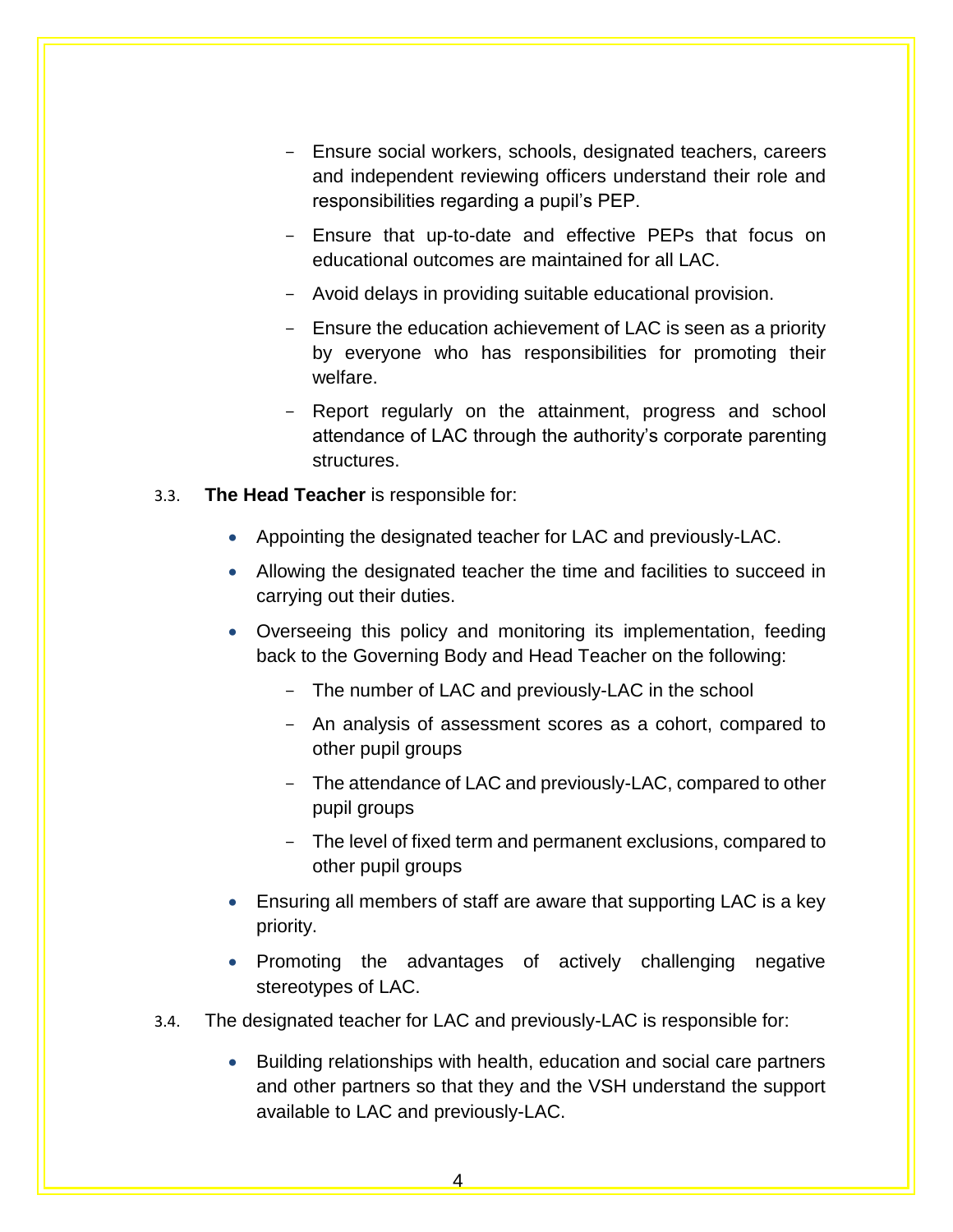- Ensure social workers, schools, designated teachers, careers and independent reviewing officers understand their role and responsibilities regarding a pupil's PEP.
- Ensure that up-to-date and effective PEPs that focus on educational outcomes are maintained for all LAC.
- Avoid delays in providing suitable educational provision.
- Ensure the education achievement of LAC is seen as a priority by everyone who has responsibilities for promoting their welfare.
- Report regularly on the attainment, progress and school attendance of LAC through the authority's corporate parenting structures.
- 3.3. **The Head Teacher** is responsible for:
	- Appointing the designated teacher for LAC and previously-LAC.
	- Allowing the designated teacher the time and facilities to succeed in carrying out their duties.
	- Overseeing this policy and monitoring its implementation, feeding back to the Governing Body and Head Teacher on the following:
		- The number of LAC and previously-LAC in the school
		- An analysis of assessment scores as a cohort, compared to other pupil groups
		- The attendance of LAC and previously-LAC, compared to other pupil groups
		- The level of fixed term and permanent exclusions, compared to other pupil groups
	- Ensuring all members of staff are aware that supporting LAC is a key priority.
	- Promoting the advantages of actively challenging negative stereotypes of LAC.
- 3.4. The designated teacher for LAC and previously-LAC is responsible for:
	- Building relationships with health, education and social care partners and other partners so that they and the VSH understand the support available to LAC and previously-LAC.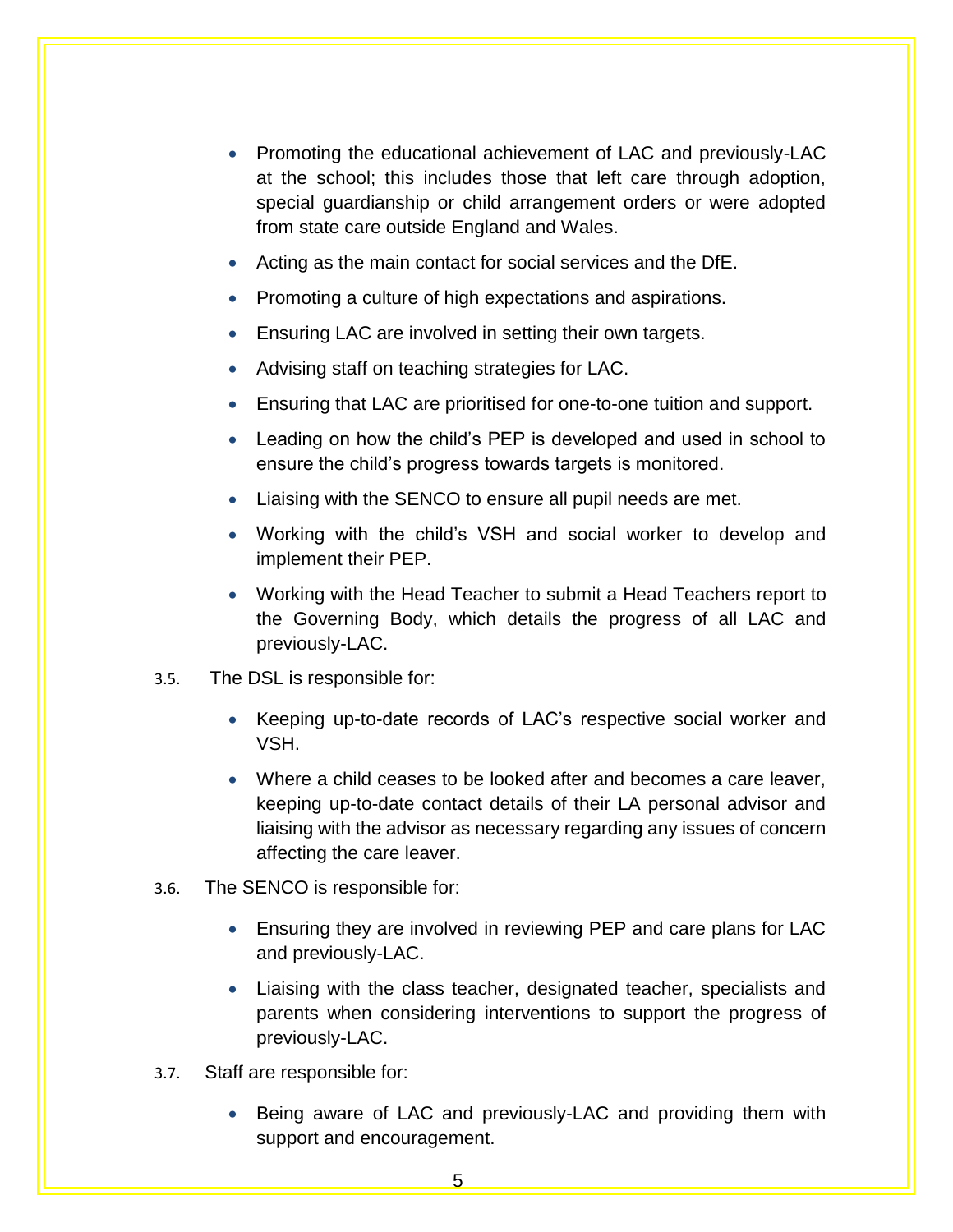- Promoting the educational achievement of LAC and previously-LAC at the school; this includes those that left care through adoption, special guardianship or child arrangement orders or were adopted from state care outside England and Wales.
- Acting as the main contact for social services and the DfE.
- Promoting a culture of high expectations and aspirations.
- **Ensuring LAC are involved in setting their own targets.**
- Advising staff on teaching strategies for LAC.
- Ensuring that LAC are prioritised for one-to-one tuition and support.
- Leading on how the child's PEP is developed and used in school to ensure the child's progress towards targets is monitored.
- Liaising with the SENCO to ensure all pupil needs are met.
- Working with the child's VSH and social worker to develop and implement their PEP.
- Working with the Head Teacher to submit a Head Teachers report to the Governing Body, which details the progress of all LAC and previously-LAC.
- 3.5. The DSL is responsible for:
	- Keeping up-to-date records of LAC's respective social worker and VSH.
	- Where a child ceases to be looked after and becomes a care leaver, keeping up-to-date contact details of their LA personal advisor and liaising with the advisor as necessary regarding any issues of concern affecting the care leaver.
- 3.6. The SENCO is responsible for:
	- Ensuring they are involved in reviewing PEP and care plans for LAC and previously-LAC.
	- Liaising with the class teacher, designated teacher, specialists and parents when considering interventions to support the progress of previously-LAC.
- 3.7. Staff are responsible for:
	- Being aware of LAC and previously-LAC and providing them with support and encouragement.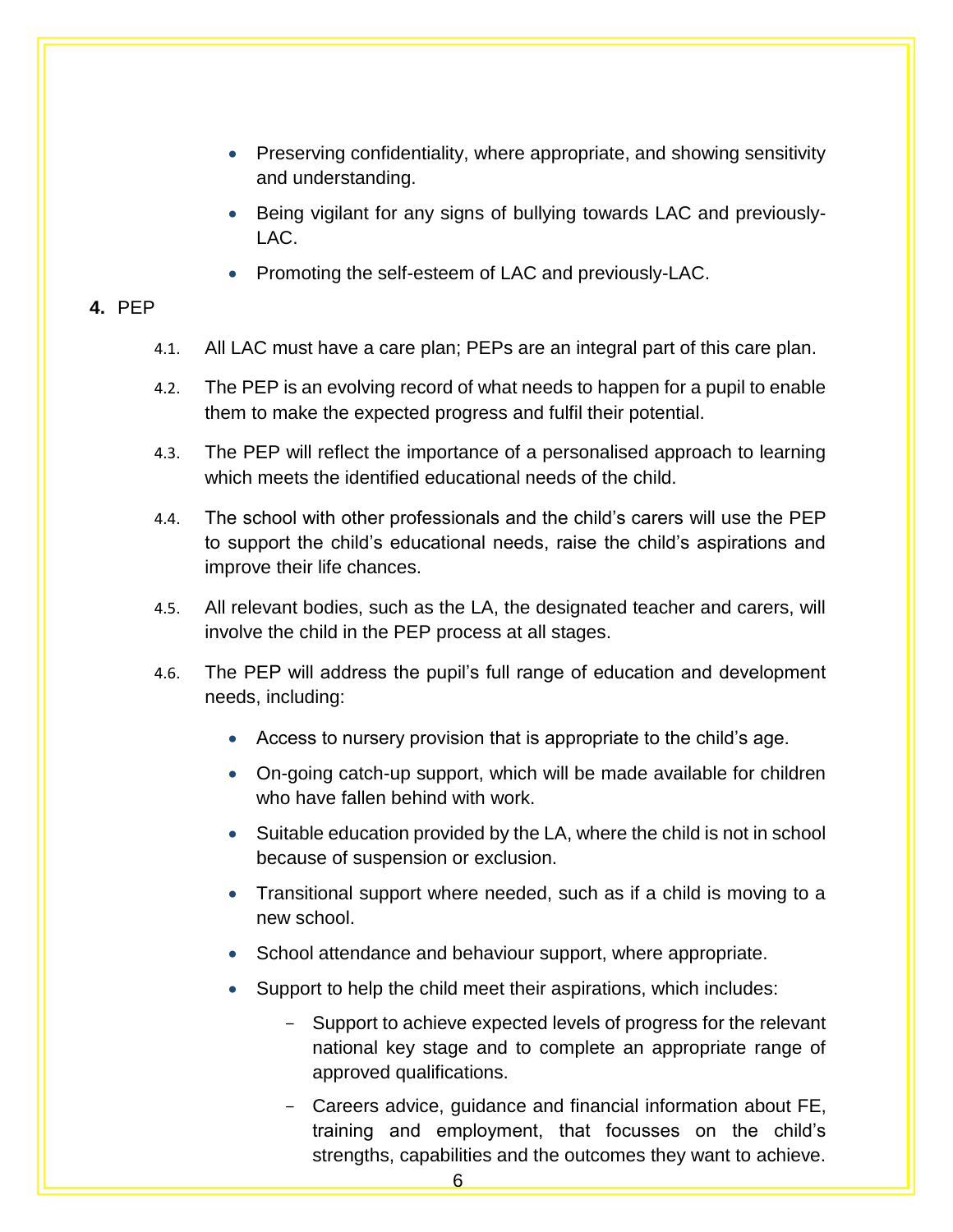- Preserving confidentiality, where appropriate, and showing sensitivity and understanding.
- Being vigilant for any signs of bullying towards LAC and previously-LAC.
- Promoting the self-esteem of LAC and previously-LAC.

## **4.** PEP

- 4.1. All LAC must have a care plan; PEPs are an integral part of this care plan.
- <span id="page-8-0"></span>4.2. The PEP is an evolving record of what needs to happen for a pupil to enable them to make the expected progress and fulfil their potential.
- 4.3. The PEP will reflect the importance of a personalised approach to learning which meets the identified educational needs of the child.
- 4.4. The school with other professionals and the child's carers will use the PEP to support the child's educational needs, raise the child's aspirations and improve their life chances.
- 4.5. All relevant bodies, such as the LA, the designated teacher and carers, will involve the child in the PEP process at all stages.
- 4.6. The PEP will address the pupil's full range of education and development needs, including:
	- Access to nursery provision that is appropriate to the child's age.
	- On-going catch-up support, which will be made available for children who have fallen behind with work.
	- Suitable education provided by the LA, where the child is not in school because of suspension or exclusion.
	- Transitional support where needed, such as if a child is moving to a new school.
	- School attendance and behaviour support, where appropriate.
	- Support to help the child meet their aspirations, which includes:
		- Support to achieve expected levels of progress for the relevant national key stage and to complete an appropriate range of approved qualifications.
		- Careers advice, guidance and financial information about FE, training and employment, that focusses on the child's strengths, capabilities and the outcomes they want to achieve.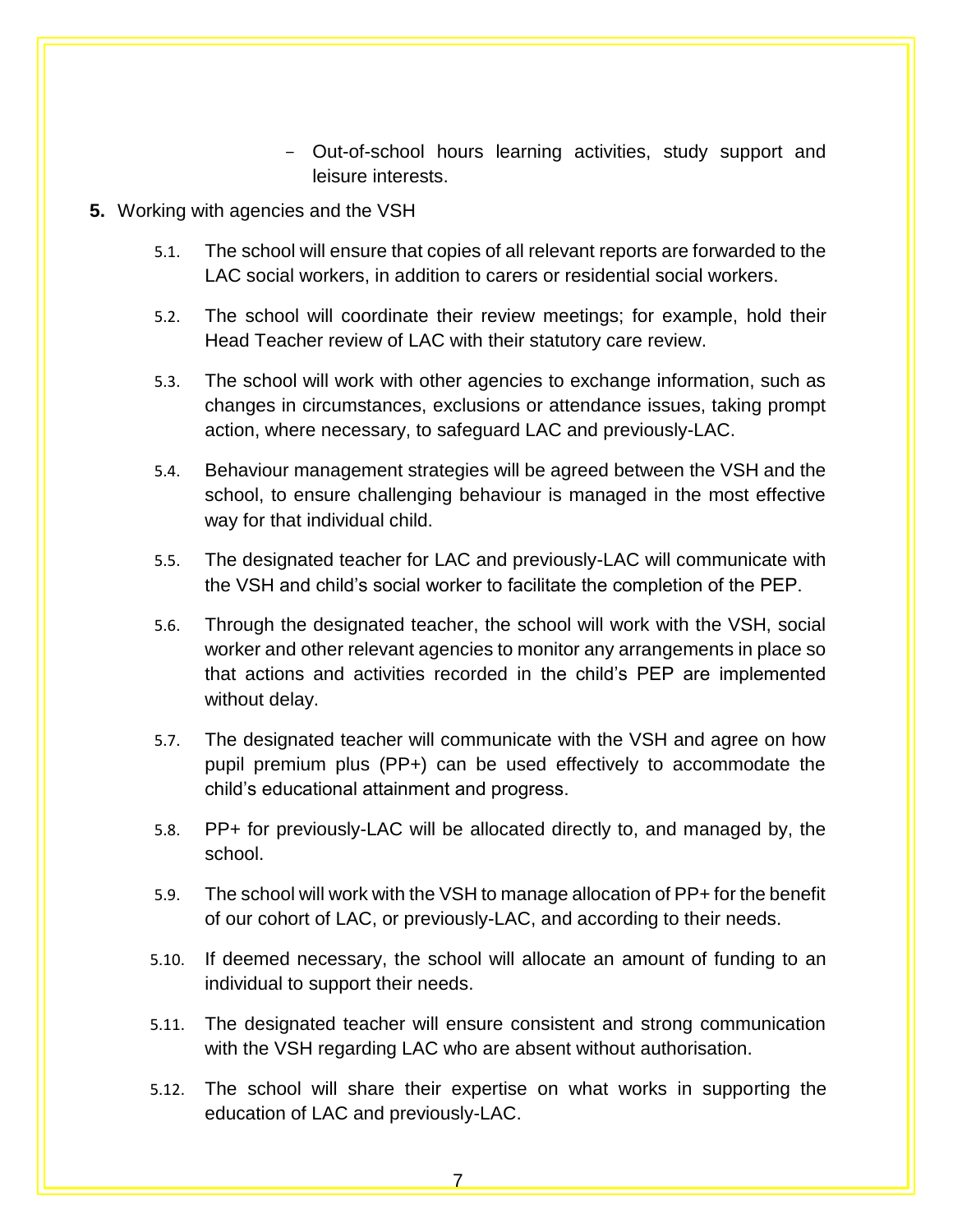- Out-of-school hours learning activities, study support and leisure interests.
- <span id="page-9-0"></span>**5.** Working with agencies and the VSH
	- 5.1. The school will ensure that copies of all relevant reports are forwarded to the LAC social workers, in addition to carers or residential social workers.
	- 5.2. The school will coordinate their review meetings; for example, hold their Head Teacher review of LAC with their statutory care review.
	- 5.3. The school will work with other agencies to exchange information, such as changes in circumstances, exclusions or attendance issues, taking prompt action, where necessary, to safeguard LAC and previously-LAC.
	- 5.4. Behaviour management strategies will be agreed between the VSH and the school, to ensure challenging behaviour is managed in the most effective way for that individual child.
	- 5.5. The designated teacher for LAC and previously-LAC will communicate with the VSH and child's social worker to facilitate the completion of the PEP.
	- 5.6. Through the designated teacher, the school will work with the VSH, social worker and other relevant agencies to monitor any arrangements in place so that actions and activities recorded in the child's PEP are implemented without delay.
	- 5.7. The designated teacher will communicate with the VSH and agree on how pupil premium plus (PP+) can be used effectively to accommodate the child's educational attainment and progress.
	- 5.8. PP+ for previously-LAC will be allocated directly to, and managed by, the school.
	- 5.9. The school will work with the VSH to manage allocation of PP+ for the benefit of our cohort of LAC, or previously-LAC, and according to their needs.
	- 5.10. If deemed necessary, the school will allocate an amount of funding to an individual to support their needs.
	- 5.11. The designated teacher will ensure consistent and strong communication with the VSH regarding LAC who are absent without authorisation.
	- 5.12. The school will share their expertise on what works in supporting the education of LAC and previously-LAC.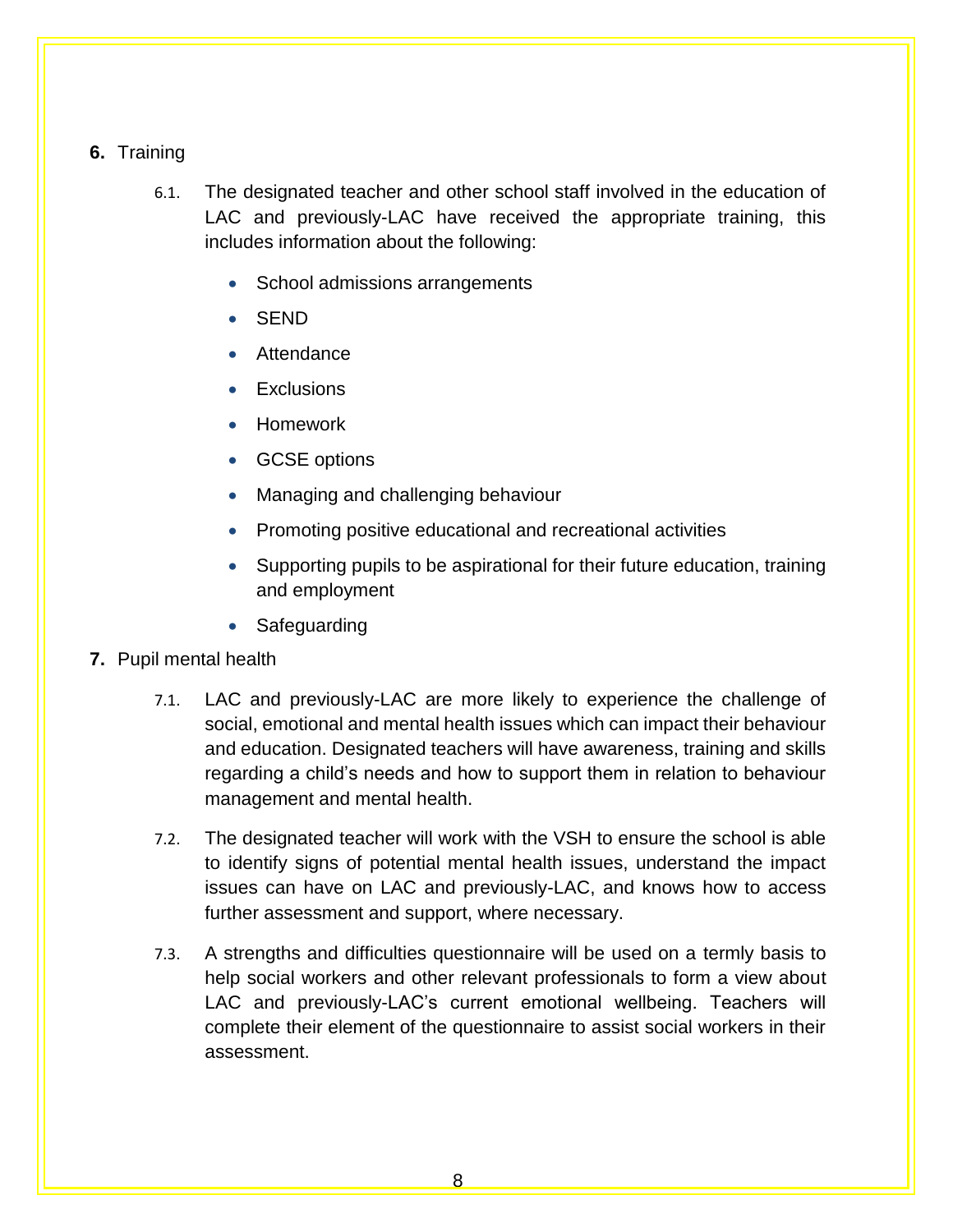## <span id="page-10-0"></span>**6.** Training

- 6.1. The designated teacher and other school staff involved in the education of LAC and previously-LAC have received the appropriate training, this includes information about the following:
	- School admissions arrangements
	- SEND
	- Attendance
	- **Exclusions**
	- Homework
	- GCSE options
	- Managing and challenging behaviour
	- Promoting positive educational and recreational activities
	- Supporting pupils to be aspirational for their future education, training and employment
	- Safeguarding
- <span id="page-10-1"></span>**7.** Pupil mental health
	- 7.1. LAC and previously-LAC are more likely to experience the challenge of social, emotional and mental health issues which can impact their behaviour and education. Designated teachers will have awareness, training and skills regarding a child's needs and how to support them in relation to behaviour management and mental health.
	- 7.2. The designated teacher will work with the VSH to ensure the school is able to identify signs of potential mental health issues, understand the impact issues can have on LAC and previously-LAC, and knows how to access further assessment and support, where necessary.
	- 7.3. A strengths and difficulties questionnaire will be used on a termly basis to help social workers and other relevant professionals to form a view about LAC and previously-LAC's current emotional wellbeing. Teachers will complete their element of the questionnaire to assist social workers in their assessment.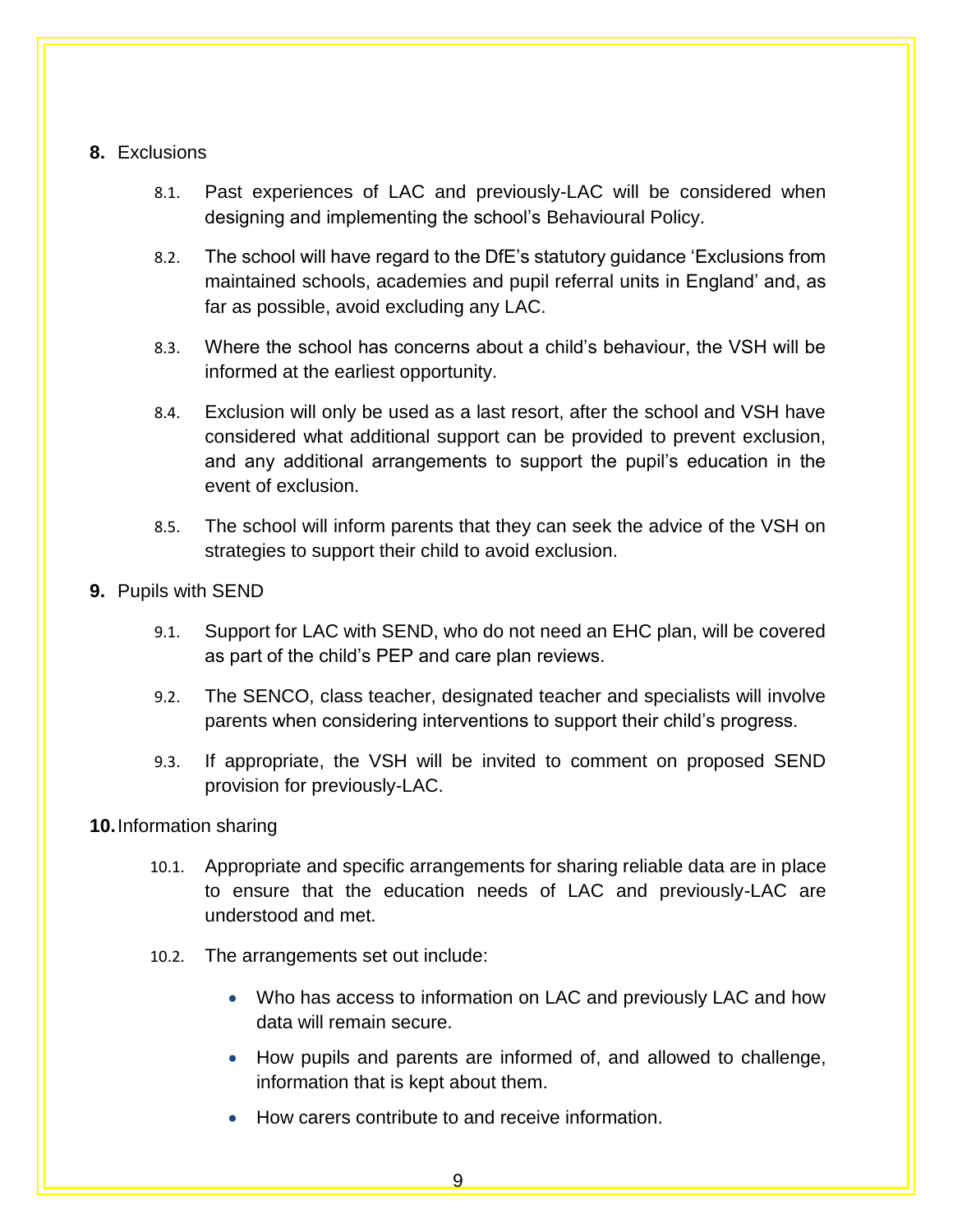## **8.** Exclusions

- 8.1. Past experiences of LAC and previously-LAC will be considered when designing and implementing the school's Behavioural Policy.
- <span id="page-11-0"></span>8.2. The school will have regard to the DfE's statutory guidance 'Exclusions from maintained schools, academies and pupil referral units in England' and, as far as possible, avoid excluding any LAC.
- 8.3. Where the school has concerns about a child's behaviour, the VSH will be informed at the earliest opportunity.
- 8.4. Exclusion will only be used as a last resort, after the school and VSH have considered what additional support can be provided to prevent exclusion, and any additional arrangements to support the pupil's education in the event of exclusion.
- 8.5. The school will inform parents that they can seek the advice of the VSH on strategies to support their child to avoid exclusion.
- <span id="page-11-1"></span>**9.** Pupils with SEND
	- 9.1. Support for LAC with SEND, who do not need an EHC plan, will be covered as part of the child's PEP and care plan reviews.
	- 9.2. The SENCO, class teacher, designated teacher and specialists will involve parents when considering interventions to support their child's progress.
	- 9.3. If appropriate, the VSH will be invited to comment on proposed SEND provision for previously-LAC.
- **10.**Information sharing
	- 10.1. Appropriate and specific arrangements for sharing reliable data are in place to ensure that the education needs of LAC and previously-LAC are understood and met.
	- 10.2. The arrangements set out include:
		- Who has access to information on LAC and previously LAC and how data will remain secure.
		- How pupils and parents are informed of, and allowed to challenge, information that is kept about them.
		- How carers contribute to and receive information.